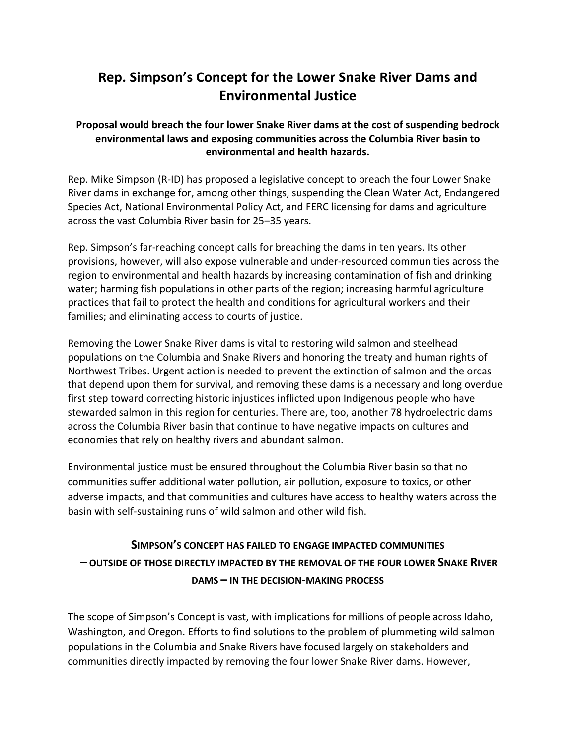# **Rep. Simpson's Concept for the Lower Snake River Dams and Environmental Justice**

#### **Proposal would breach the four lower Snake River dams at the cost of suspending bedrock environmental laws and exposing communities across the Columbia River basin to environmental and health hazards.**

Rep. Mike Simpson (R‐ID) has proposed a legislative concept to breach the four Lower Snake River dams in exchange for, among other things, suspending the Clean Water Act, Endangered Species Act, National Environmental Policy Act, and FERC licensing for dams and agriculture across the vast Columbia River basin for 25‒35 years.

Rep. Simpson's far‐reaching concept calls for breaching the dams in ten years. Its other provisions, however, will also expose vulnerable and under‐resourced communities across the region to environmental and health hazards by increasing contamination of fish and drinking water; harming fish populations in other parts of the region; increasing harmful agriculture practices that fail to protect the health and conditions for agricultural workers and their families; and eliminating access to courts of justice.

Removing the Lower Snake River dams is vital to restoring wild salmon and steelhead populations on the Columbia and Snake Rivers and honoring the treaty and human rights of Northwest Tribes. Urgent action is needed to prevent the extinction of salmon and the orcas that depend upon them for survival, and removing these dams is a necessary and long overdue first step toward correcting historic injustices inflicted upon Indigenous people who have stewarded salmon in this region for centuries. There are, too, another 78 hydroelectric dams across the Columbia River basin that continue to have negative impacts on cultures and economies that rely on healthy rivers and abundant salmon.

Environmental justice must be ensured throughout the Columbia River basin so that no communities suffer additional water pollution, air pollution, exposure to toxics, or other adverse impacts, and that communities and cultures have access to healthy waters across the basin with self‐sustaining runs of wild salmon and other wild fish.

# **SIMPSON'S CONCEPT HAS FAILED TO ENGAGE IMPACTED COMMUNITIES – OUTSIDE OF THOSE DIRECTLY IMPACTED BY THE REMOVAL OF THE FOUR LOWER SNAKE RIVER DAMS – IN THE DECISION‐MAKING PROCESS**

The scope of Simpson's Concept is vast, with implications for millions of people across Idaho, Washington, and Oregon. Efforts to find solutions to the problem of plummeting wild salmon populations in the Columbia and Snake Rivers have focused largely on stakeholders and communities directly impacted by removing the four lower Snake River dams. However,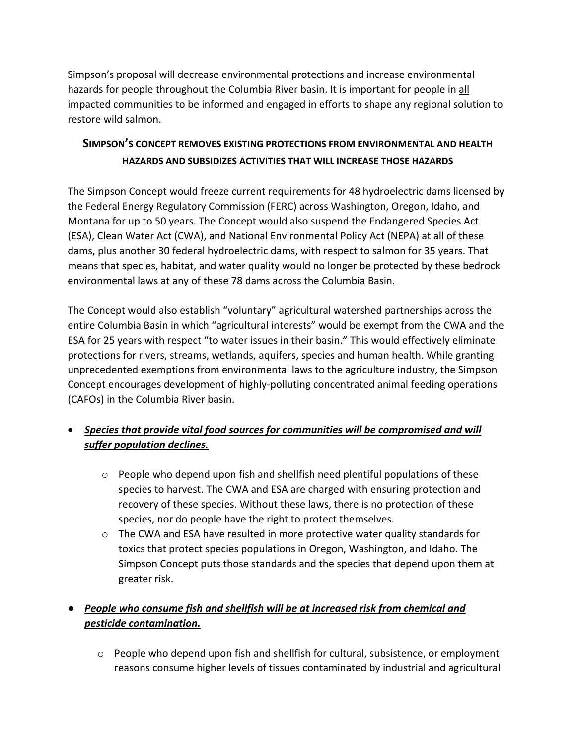Simpson's proposal will decrease environmental protections and increase environmental hazards for people throughout the Columbia River basin. It is important for people in all impacted communities to be informed and engaged in efforts to shape any regional solution to restore wild salmon.

### **SIMPSON'S CONCEPT REMOVES EXISTING PROTECTIONS FROM ENVIRONMENTAL AND HEALTH HAZARDS AND SUBSIDIZES ACTIVITIES THAT WILL INCREASE THOSE HAZARDS**

The Simpson Concept would freeze current requirements for 48 hydroelectric dams licensed by the Federal Energy Regulatory Commission (FERC) across Washington, Oregon, Idaho, and Montana for up to 50 years. The Concept would also suspend the Endangered Species Act (ESA), Clean Water Act (CWA), and National Environmental Policy Act (NEPA) at all of these dams, plus another 30 federal hydroelectric dams, with respect to salmon for 35 years. That means that species, habitat, and water quality would no longer be protected by these bedrock environmental laws at any of these 78 dams across the Columbia Basin.

The Concept would also establish "voluntary" agricultural watershed partnerships across the entire Columbia Basin in which "agricultural interests" would be exempt from the CWA and the ESA for 25 years with respect "to water issues in their basin." This would effectively eliminate protections for rivers, streams, wetlands, aquifers, species and human health. While granting unprecedented exemptions from environmental laws to the agriculture industry, the Simpson Concept encourages development of highly‐polluting concentrated animal feeding operations (CAFOs) in the Columbia River basin.

### *Species that provide vital food sources for communities will be compromised and will suffer population declines.*

- $\circ$  People who depend upon fish and shellfish need plentiful populations of these species to harvest. The CWA and ESA are charged with ensuring protection and recovery of these species. Without these laws, there is no protection of these species, nor do people have the right to protect themselves.
- $\circ$  The CWA and ESA have resulted in more protective water quality standards for toxics that protect species populations in Oregon, Washington, and Idaho. The Simpson Concept puts those standards and the species that depend upon them at greater risk.

## ● *People who consume fish and shellfish will be at increased risk from chemical and pesticide contamination.*

 $\circ$  People who depend upon fish and shellfish for cultural, subsistence, or employment reasons consume higher levels of tissues contaminated by industrial and agricultural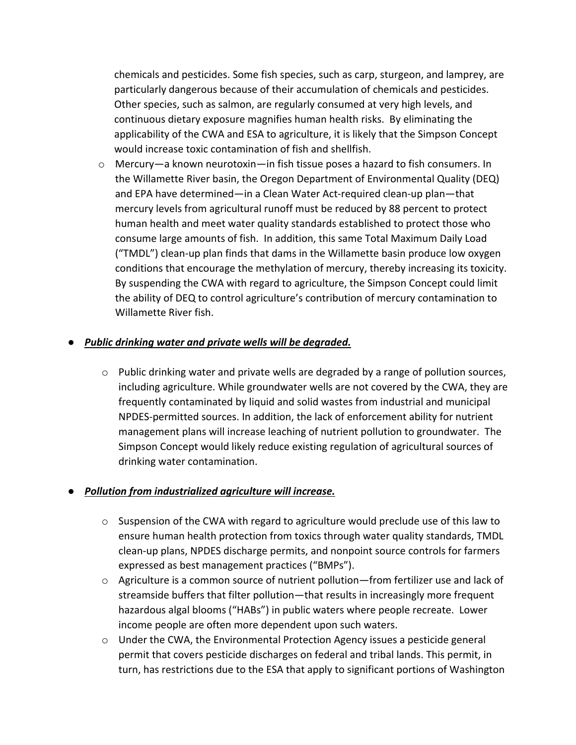chemicals and pesticides. Some fish species, such as carp, sturgeon, and lamprey, are particularly dangerous because of their accumulation of chemicals and pesticides. Other species, such as salmon, are regularly consumed at very high levels, and continuous dietary exposure magnifies human health risks. By eliminating the applicability of the CWA and ESA to agriculture, it is likely that the Simpson Concept would increase toxic contamination of fish and shellfish.

 $\circ$  Mercury—a known neurotoxin—in fish tissue poses a hazard to fish consumers. In the Willamette River basin, the Oregon Department of Environmental Quality (DEQ) and EPA have determined—in a Clean Water Act‐required clean‐up plan—that mercury levels from agricultural runoff must be reduced by 88 percent to protect human health and meet water quality standards established to protect those who consume large amounts of fish. In addition, this same Total Maximum Daily Load ("TMDL") clean‐up plan finds that dams in the Willamette basin produce low oxygen conditions that encourage the methylation of mercury, thereby increasing its toxicity. By suspending the CWA with regard to agriculture, the Simpson Concept could limit the ability of DEQ to control agriculture's contribution of mercury contamination to Willamette River fish.

#### ● *Public drinking water and private wells will be degraded.*

 $\circ$  Public drinking water and private wells are degraded by a range of pollution sources, including agriculture. While groundwater wells are not covered by the CWA, they are frequently contaminated by liquid and solid wastes from industrial and municipal NPDES‐permitted sources. In addition, the lack of enforcement ability for nutrient management plans will increase leaching of nutrient pollution to groundwater. The Simpson Concept would likely reduce existing regulation of agricultural sources of drinking water contamination.

#### ● *Pollution from industrialized agriculture will increase.*

- $\circ$  Suspension of the CWA with regard to agriculture would preclude use of this law to ensure human health protection from toxics through water quality standards, TMDL clean‐up plans, NPDES discharge permits, and nonpoint source controls for farmers expressed as best management practices ("BMPs").
- $\circ$  Agriculture is a common source of nutrient pollution—from fertilizer use and lack of streamside buffers that filter pollution—that results in increasingly more frequent hazardous algal blooms ("HABs") in public waters where people recreate. Lower income people are often more dependent upon such waters.
- $\circ$  Under the CWA, the Environmental Protection Agency issues a pesticide general permit that covers pesticide discharges on federal and tribal lands. This permit, in turn, has restrictions due to the ESA that apply to significant portions of Washington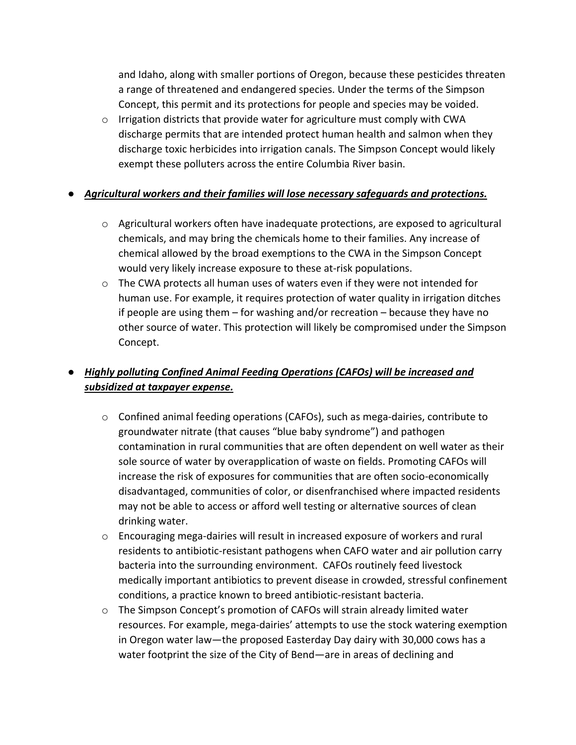and Idaho, along with smaller portions of Oregon, because these pesticides threaten a range of threatened and endangered species. Under the terms of the Simpson Concept, this permit and its protections for people and species may be voided.

o Irrigation districts that provide water for agriculture must comply with CWA discharge permits that are intended protect human health and salmon when they discharge toxic herbicides into irrigation canals. The Simpson Concept would likely exempt these polluters across the entire Columbia River basin.

#### ● *Agricultural workers and their families will lose necessary safeguards and protections.*

- $\circ$  Agricultural workers often have inadequate protections, are exposed to agricultural chemicals, and may bring the chemicals home to their families. Any increase of chemical allowed by the broad exemptions to the CWA in the Simpson Concept would very likely increase exposure to these at‐risk populations.
- $\circ$  The CWA protects all human uses of waters even if they were not intended for human use. For example, it requires protection of water quality in irrigation ditches if people are using them – for washing and/or recreation – because they have no other source of water. This protection will likely be compromised under the Simpson Concept.

### ● *Highly polluting Confined Animal Feeding Operations (CAFOs) will be increased and subsidized at taxpayer expense.*

- o Confined animal feeding operations (CAFOs), such as mega‐dairies, contribute to groundwater nitrate (that causes "blue baby syndrome") and pathogen contamination in rural communities that are often dependent on well water as their sole source of water by overapplication of waste on fields. Promoting CAFOs will increase the risk of exposures for communities that are often socio‐economically disadvantaged, communities of color, or disenfranchised where impacted residents may not be able to access or afford well testing or alternative sources of clean drinking water.
- o Encouraging mega‐dairies will result in increased exposure of workers and rural residents to antibiotic‐resistant pathogens when CAFO water and air pollution carry bacteria into the surrounding environment. CAFOs routinely feed livestock medically important antibiotics to prevent disease in crowded, stressful confinement conditions, a practice known to breed antibiotic‐resistant bacteria.
- o The Simpson Concept's promotion of CAFOs will strain already limited water resources. For example, mega‐dairies' attempts to use the stock watering exemption in Oregon water law—the proposed Easterday Day dairy with 30,000 cows has a water footprint the size of the City of Bend—are in areas of declining and